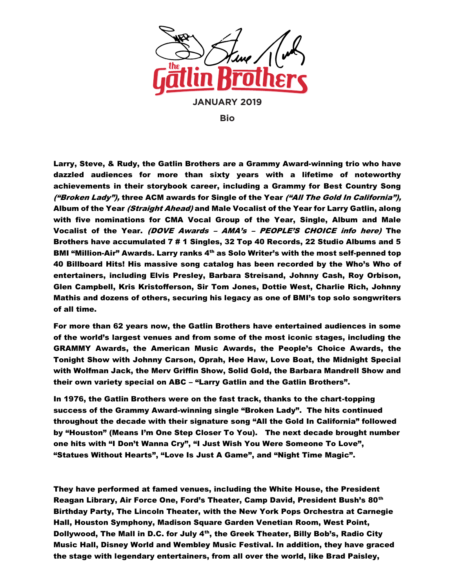

**Bio**

Larry, Steve, & Rudy, the Gatlin Brothers are a Grammy Award-winning trio who have dazzled audiences for more than sixty years with a lifetime of noteworthy achievements in their storybook career, including a Grammy for Best Country Song ("Broken Lady"), three ACM awards for Single of the Year ("All The Gold In California"), Album of the Year *(Straight Ahead)* and Male Vocalist of the Year for Larry Gatlin, along with five nominations for CMA Vocal Group of the Year, Single, Album and Male Vocalist of the Year. (DOVE Awards – AMA's – PEOPLE'S CHOICE info here) The Brothers have accumulated 7 # 1 Singles, 32 Top 40 Records, 22 Studio Albums and 5 BMI "Million-Air" Awards. Larry ranks 4<sup>th</sup> as Solo Writer's with the most self-penned top 40 Billboard Hits! His massive song catalog has been recorded by the Who's Who of entertainers, including Elvis Presley, Barbara Streisand, Johnny Cash, Roy Orbison, Glen Campbell, Kris Kristofferson, Sir Tom Jones, Dottie West, Charlie Rich, Johnny Mathis and dozens of others, securing his legacy as one of BMI's top solo songwriters of all time.

For more than 62 years now, the Gatlin Brothers have entertained audiences in some of the world's largest venues and from some of the most iconic stages, including the GRAMMY Awards, the American Music Awards, the People's Choice Awards, the Tonight Show with Johnny Carson, Oprah, Hee Haw, Love Boat, the Midnight Special with Wolfman Jack, the Merv Griffin Show, Solid Gold, the Barbara Mandrell Show and their own variety special on ABC – "Larry Gatlin and the Gatlin Brothers".

In 1976, the Gatlin Brothers were on the fast track, thanks to the chart-topping success of the Grammy Award-winning single "Broken Lady". The hits continued throughout the decade with their signature song "All the Gold In California" followed by "Houston" (Means I'm One Step Closer To You). The next decade brought number one hits with "I Don't Wanna Cry", "I Just Wish You Were Someone To Love", "Statues Without Hearts", "Love Is Just A Game", and "Night Time Magic".

They have performed at famed venues, including the White House, the President Reagan Library, Air Force One, Ford's Theater, Camp David, President Bush's 80<sup>th</sup> Birthday Party, The Lincoln Theater, with the New York Pops Orchestra at Carnegie Hall, Houston Symphony, Madison Square Garden Venetian Room, West Point, Dollywood, The Mall in D.C. for July  $4<sup>th</sup>$ , the Greek Theater, Billy Bob's, Radio City Music Hall, Disney World and Wembley Music Festival. In addition, they have graced the stage with legendary entertainers, from all over the world, like Brad Paisley,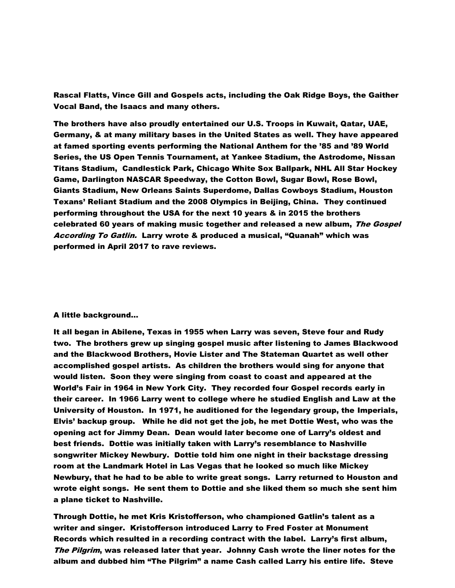Rascal Flatts, Vince Gill and Gospels acts, including the Oak Ridge Boys, the Gaither Vocal Band, the Isaacs and many others.

The brothers have also proudly entertained our U.S. Troops in Kuwait, Qatar, UAE, Germany, & at many military bases in the United States as well. They have appeared at famed sporting events performing the National Anthem for the '85 and '89 World Series, the US Open Tennis Tournament, at Yankee Stadium, the Astrodome, Nissan Titans Stadium, Candlestick Park, Chicago White Sox Ballpark, NHL All Star Hockey Game, Darlington NASCAR Speedway, the Cotton Bowl, Sugar Bowl, Rose Bowl, Giants Stadium, New Orleans Saints Superdome, Dallas Cowboys Stadium, Houston Texans' Reliant Stadium and the 2008 Olympics in Beijing, China. They continued performing throughout the USA for the next 10 years & in 2015 the brothers celebrated 60 years of making music together and released a new album, The Gospel According To Gatlin. Larry wrote & produced a musical, "Quanah" which was performed in April 2017 to rave reviews.

## A little background…

It all began in Abilene, Texas in 1955 when Larry was seven, Steve four and Rudy two. The brothers grew up singing gospel music after listening to James Blackwood and the Blackwood Brothers, Hovie Lister and The Stateman Quartet as well other accomplished gospel artists. As children the brothers would sing for anyone that would listen. Soon they were singing from coast to coast and appeared at the World's Fair in 1964 in New York City. They recorded four Gospel records early in their career. In 1966 Larry went to college where he studied English and Law at the University of Houston. In 1971, he auditioned for the legendary group, the Imperials, Elvis' backup group. While he did not get the job, he met Dottie West, who was the opening act for Jimmy Dean. Dean would later become one of Larry's oldest and best friends. Dottie was initially taken with Larry's resemblance to Nashville songwriter Mickey Newbury. Dottie told him one night in their backstage dressing room at the Landmark Hotel in Las Vegas that he looked so much like Mickey Newbury, that he had to be able to write great songs. Larry returned to Houston and wrote eight songs. He sent them to Dottie and she liked them so much she sent him a plane ticket to Nashville.

Through Dottie, he met Kris Kristofferson, who championed Gatlin's talent as a writer and singer. Kristofferson introduced Larry to Fred Foster at Monument Records which resulted in a recording contract with the label. Larry's first album, The Pilgrim, was released later that year. Johnny Cash wrote the liner notes for the album and dubbed him "The Pilgrim" a name Cash called Larry his entire life. Steve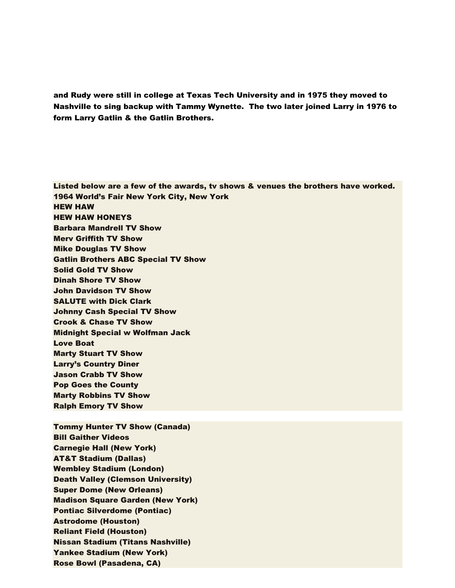and Rudy were still in college at Texas Tech University and in 1975 they moved to Nashville to sing backup with Tammy Wynette. The two later joined Larry in 1976 to form Larry Gatlin & the Gatlin Brothers.

Listed below are a few of the awards, tv shows & venues the brothers have worked. 1964 World's Fair New York City, New York HEW HAW HEW HAW HONEYS Barbara Mandrell TV Show Merv Griffith TV Show Mike Douglas TV Show Gatlin Brothers ABC Special TV Show Solid Gold TV Show Dinah Shore TV Show John Davidson TV Show SALUTE with Dick Clark Johnny Cash Special TV Show Crook & Chase TV Show Midnight Special w Wolfman Jack Love Boat Marty Stuart TV Show Larry's Country Diner Jason Crabb TV Show Pop Goes the County Marty Robbins TV Show Ralph Emory TV Show Tommy Hunter TV Show (Canada) Bill Gaither Videos

Carnegie Hall (New York) AT&T Stadium (Dallas) Wembley Stadium (London) Death Valley (Clemson University) Super Dome (New Orleans) Madison Square Garden (New York) Pontiac Silverdome (Pontiac) Astrodome (Houston) Reliant Field (Houston) Nissan Stadium (Titans Nashville) Yankee Stadium (New York) Rose Bowl (Pasadena, CA)